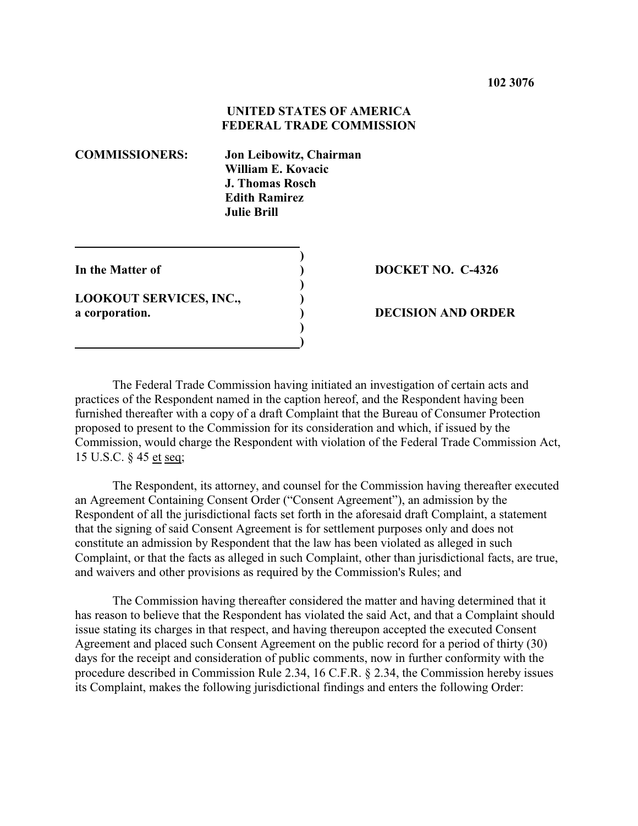# **UNITED STATES OF AMERICA FEDERAL TRADE COMMISSION**

| <b>COMMISSIONERS:</b>                            |  | Jon Leibowitz, Chairman<br>William E. Kovacic<br>J. Thomas Rosch<br><b>Edith Ramirez</b><br>Julie Brill. |  |
|--------------------------------------------------|--|----------------------------------------------------------------------------------------------------------|--|
| In the Matter of                                 |  |                                                                                                          |  |
| <b>LOOKOUT SERVICES, INC.,</b><br>a corporation. |  |                                                                                                          |  |

 **)**

### **In the Matter of ) DOCKET NO. C-4326**

#### **a corporation. ) DECISION AND ORDER**

The Federal Trade Commission having initiated an investigation of certain acts and practices of the Respondent named in the caption hereof, and the Respondent having been furnished thereafter with a copy of a draft Complaint that the Bureau of Consumer Protection proposed to present to the Commission for its consideration and which, if issued by the Commission, would charge the Respondent with violation of the Federal Trade Commission Act, 15 U.S.C. § 45 et seq;

The Respondent, its attorney, and counsel for the Commission having thereafter executed an Agreement Containing Consent Order ("Consent Agreement"), an admission by the Respondent of all the jurisdictional facts set forth in the aforesaid draft Complaint, a statement that the signing of said Consent Agreement is for settlement purposes only and does not constitute an admission by Respondent that the law has been violated as alleged in such Complaint, or that the facts as alleged in such Complaint, other than jurisdictional facts, are true, and waivers and other provisions as required by the Commission's Rules; and

The Commission having thereafter considered the matter and having determined that it has reason to believe that the Respondent has violated the said Act, and that a Complaint should issue stating its charges in that respect, and having thereupon accepted the executed Consent Agreement and placed such Consent Agreement on the public record for a period of thirty (30) days for the receipt and consideration of public comments, now in further conformity with the procedure described in Commission Rule 2.34, 16 C.F.R. § 2.34, the Commission hereby issues its Complaint, makes the following jurisdictional findings and enters the following Order: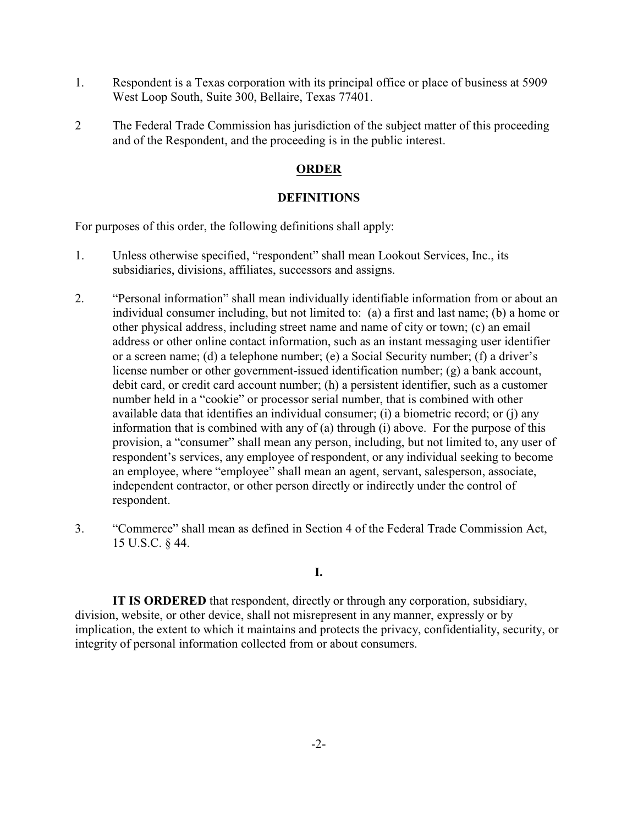- 1. Respondent is a Texas corporation with its principal office or place of business at 5909 West Loop South, Suite 300, Bellaire, Texas 77401.
- 2 The Federal Trade Commission has jurisdiction of the subject matter of this proceeding and of the Respondent, and the proceeding is in the public interest.

# **ORDER**

## **DEFINITIONS**

For purposes of this order, the following definitions shall apply:

- 1. Unless otherwise specified, "respondent" shall mean Lookout Services, Inc., its subsidiaries, divisions, affiliates, successors and assigns.
- 2. "Personal information" shall mean individually identifiable information from or about an individual consumer including, but not limited to: (a) a first and last name; (b) a home or other physical address, including street name and name of city or town; (c) an email address or other online contact information, such as an instant messaging user identifier or a screen name; (d) a telephone number; (e) a Social Security number; (f) a driver's license number or other government-issued identification number; (g) a bank account, debit card, or credit card account number; (h) a persistent identifier, such as a customer number held in a "cookie" or processor serial number, that is combined with other available data that identifies an individual consumer; (i) a biometric record; or (j) any information that is combined with any of (a) through (i) above. For the purpose of this provision, a "consumer" shall mean any person, including, but not limited to, any user of respondent's services, any employee of respondent, or any individual seeking to become an employee, where "employee" shall mean an agent, servant, salesperson, associate, independent contractor, or other person directly or indirectly under the control of respondent.
- 3. "Commerce" shall mean as defined in Section 4 of the Federal Trade Commission Act, 15 U.S.C. § 44.

## **I.**

**IT IS ORDERED** that respondent, directly or through any corporation, subsidiary, division, website, or other device, shall not misrepresent in any manner, expressly or by implication, the extent to which it maintains and protects the privacy, confidentiality, security, or integrity of personal information collected from or about consumers.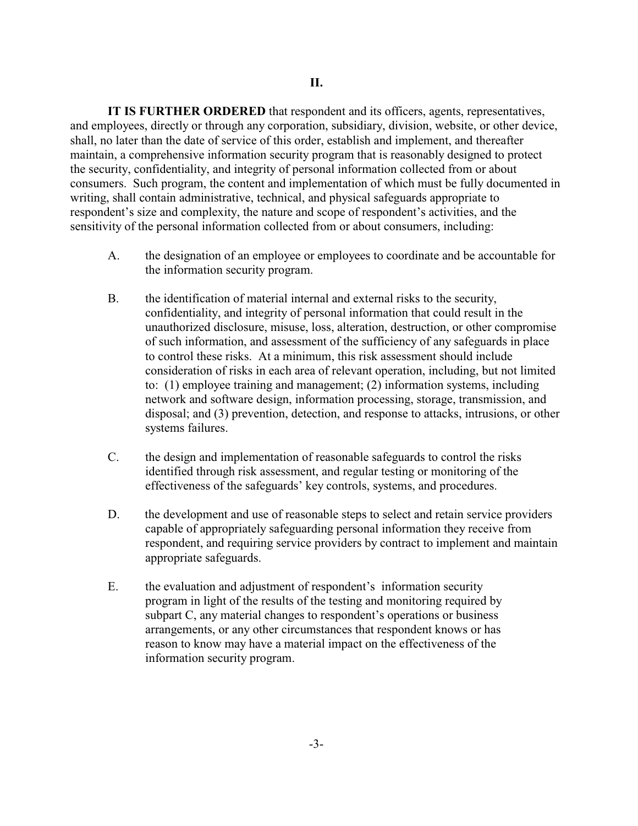**IT IS FURTHER ORDERED** that respondent and its officers, agents, representatives, and employees, directly or through any corporation, subsidiary, division, website, or other device, shall, no later than the date of service of this order, establish and implement, and thereafter maintain, a comprehensive information security program that is reasonably designed to protect the security, confidentiality, and integrity of personal information collected from or about consumers. Such program, the content and implementation of which must be fully documented in writing, shall contain administrative, technical, and physical safeguards appropriate to respondent's size and complexity, the nature and scope of respondent's activities, and the sensitivity of the personal information collected from or about consumers, including:

- A. the designation of an employee or employees to coordinate and be accountable for the information security program.
- B. the identification of material internal and external risks to the security, confidentiality, and integrity of personal information that could result in the unauthorized disclosure, misuse, loss, alteration, destruction, or other compromise of such information, and assessment of the sufficiency of any safeguards in place to control these risks. At a minimum, this risk assessment should include consideration of risks in each area of relevant operation, including, but not limited to: (1) employee training and management; (2) information systems, including network and software design, information processing, storage, transmission, and disposal; and (3) prevention, detection, and response to attacks, intrusions, or other systems failures.
- C. the design and implementation of reasonable safeguards to control the risks identified through risk assessment, and regular testing or monitoring of the effectiveness of the safeguards' key controls, systems, and procedures.
- D. the development and use of reasonable steps to select and retain service providers capable of appropriately safeguarding personal information they receive from respondent, and requiring service providers by contract to implement and maintain appropriate safeguards.
- E. the evaluation and adjustment of respondent's information security program in light of the results of the testing and monitoring required by subpart C, any material changes to respondent's operations or business arrangements, or any other circumstances that respondent knows or has reason to know may have a material impact on the effectiveness of the information security program.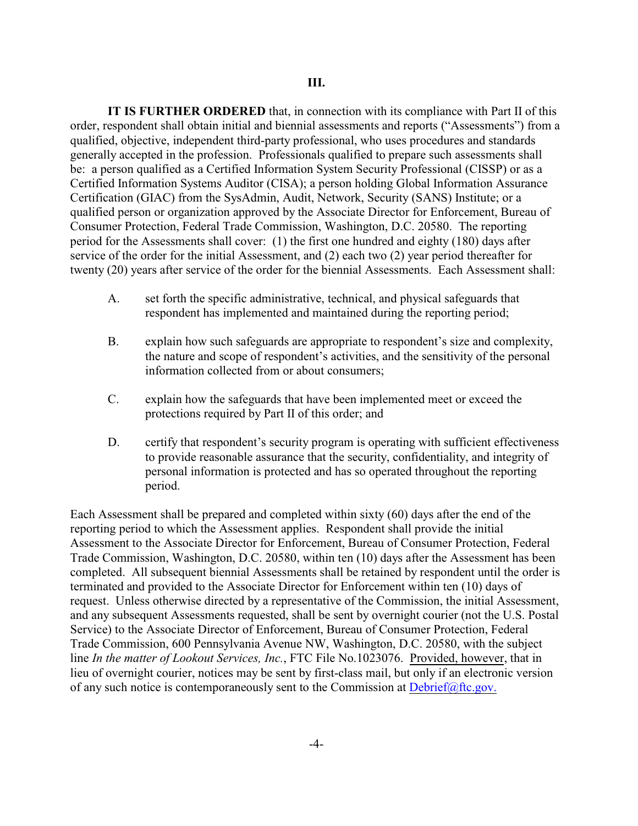**IT IS FURTHER ORDERED** that, in connection with its compliance with Part II of this order, respondent shall obtain initial and biennial assessments and reports ("Assessments") from a qualified, objective, independent third-party professional, who uses procedures and standards generally accepted in the profession. Professionals qualified to prepare such assessments shall be: a person qualified as a Certified Information System Security Professional (CISSP) or as a Certified Information Systems Auditor (CISA); a person holding Global Information Assurance Certification (GIAC) from the SysAdmin, Audit, Network, Security (SANS) Institute; or a qualified person or organization approved by the Associate Director for Enforcement, Bureau of Consumer Protection, Federal Trade Commission, Washington, D.C. 20580. The reporting period for the Assessments shall cover: (1) the first one hundred and eighty (180) days after service of the order for the initial Assessment, and (2) each two (2) year period thereafter for twenty (20) years after service of the order for the biennial Assessments. Each Assessment shall:

- A. set forth the specific administrative, technical, and physical safeguards that respondent has implemented and maintained during the reporting period;
- B. explain how such safeguards are appropriate to respondent's size and complexity, the nature and scope of respondent's activities, and the sensitivity of the personal information collected from or about consumers;
- C. explain how the safeguards that have been implemented meet or exceed the protections required by Part II of this order; and
- D. certify that respondent's security program is operating with sufficient effectiveness to provide reasonable assurance that the security, confidentiality, and integrity of personal information is protected and has so operated throughout the reporting period.

Each Assessment shall be prepared and completed within sixty (60) days after the end of the reporting period to which the Assessment applies. Respondent shall provide the initial Assessment to the Associate Director for Enforcement, Bureau of Consumer Protection, Federal Trade Commission, Washington, D.C. 20580, within ten (10) days after the Assessment has been completed. All subsequent biennial Assessments shall be retained by respondent until the order is terminated and provided to the Associate Director for Enforcement within ten (10) days of request. Unless otherwise directed by a representative of the Commission, the initial Assessment, and any subsequent Assessments requested, shall be sent by overnight courier (not the U.S. Postal Service) to the Associate Director of Enforcement, Bureau of Consumer Protection, Federal Trade Commission, 600 Pennsylvania Avenue NW, Washington, D.C. 20580, with the subject line *In the matter of Lookout Services, Inc.*, FTC File No.1023076. Provided, however, that in lieu of overnight courier, notices may be sent by first-class mail, but only if an electronic version of any such notice is contemporaneously sent to the Commission at  $Debrief@ftc.gov$ .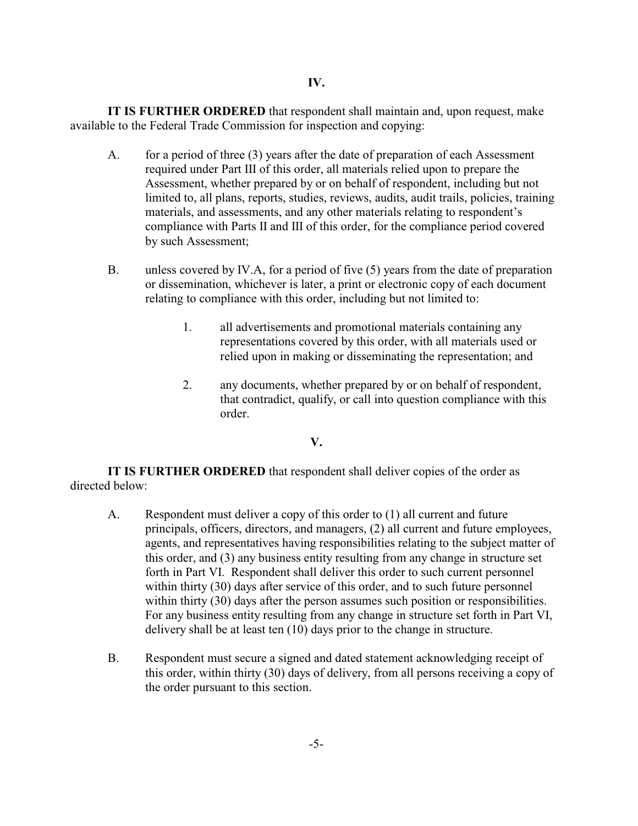## **IV.**

**IT IS FURTHER ORDERED** that respondent shall maintain and, upon request, make available to the Federal Trade Commission for inspection and copying:

- A. for a period of three (3) years after the date of preparation of each Assessment required under Part III of this order, all materials relied upon to prepare the Assessment, whether prepared by or on behalf of respondent, including but not limited to, all plans, reports, studies, reviews, audits, audit trails, policies, training materials, and assessments, and any other materials relating to respondent's compliance with Parts II and III of this order, for the compliance period covered by such Assessment;
- B. unless covered by IV.A, for a period of five (5) years from the date of preparation or dissemination, whichever is later, a print or electronic copy of each document relating to compliance with this order, including but not limited to:
	- 1. all advertisements and promotional materials containing any representations covered by this order, with all materials used or relied upon in making or disseminating the representation; and
	- 2. any documents, whether prepared by or on behalf of respondent, that contradict, qualify, or call into question compliance with this order.

### **V.**

**IT IS FURTHER ORDERED** that respondent shall deliver copies of the order as directed below:

- A. Respondent must deliver a copy of this order to (1) all current and future principals, officers, directors, and managers, (2) all current and future employees, agents, and representatives having responsibilities relating to the subject matter of this order, and (3) any business entity resulting from any change in structure set forth in Part VI. Respondent shall deliver this order to such current personnel within thirty (30) days after service of this order, and to such future personnel within thirty (30) days after the person assumes such position or responsibilities. For any business entity resulting from any change in structure set forth in Part VI, delivery shall be at least ten (10) days prior to the change in structure.
- B. Respondent must secure a signed and dated statement acknowledging receipt of this order, within thirty (30) days of delivery, from all persons receiving a copy of the order pursuant to this section.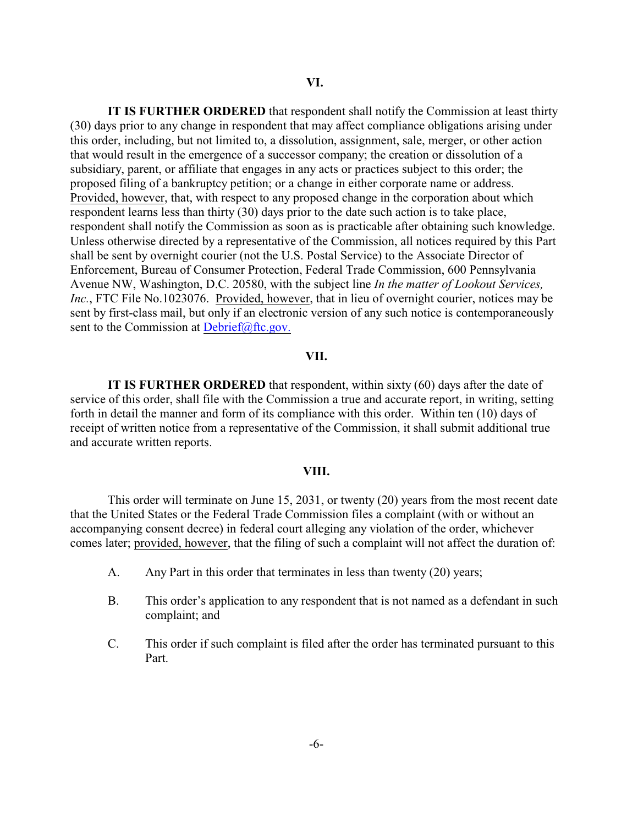**IT IS FURTHER ORDERED** that respondent shall notify the Commission at least thirty (30) days prior to any change in respondent that may affect compliance obligations arising under this order, including, but not limited to, a dissolution, assignment, sale, merger, or other action that would result in the emergence of a successor company; the creation or dissolution of a subsidiary, parent, or affiliate that engages in any acts or practices subject to this order; the proposed filing of a bankruptcy petition; or a change in either corporate name or address. Provided, however, that, with respect to any proposed change in the corporation about which respondent learns less than thirty (30) days prior to the date such action is to take place, respondent shall notify the Commission as soon as is practicable after obtaining such knowledge. Unless otherwise directed by a representative of the Commission, all notices required by this Part shall be sent by overnight courier (not the U.S. Postal Service) to the Associate Director of Enforcement, Bureau of Consumer Protection, Federal Trade Commission, 600 Pennsylvania Avenue NW, Washington, D.C. 20580, with the subject line *In the matter of Lookout Services, Inc.*, FTC File No.1023076. Provided, however, that in lieu of overnight courier, notices may be sent by first-class mail, but only if an electronic version of any such notice is contemporaneously sent to the Commission at [Debrief@ftc.gov.](mailto:Debrief@ftc.gov.)

#### **VII.**

**IT IS FURTHER ORDERED** that respondent, within sixty (60) days after the date of service of this order, shall file with the Commission a true and accurate report, in writing, setting forth in detail the manner and form of its compliance with this order. Within ten (10) days of receipt of written notice from a representative of the Commission, it shall submit additional true and accurate written reports.

#### **VIII.**

This order will terminate on June 15, 2031, or twenty (20) years from the most recent date that the United States or the Federal Trade Commission files a complaint (with or without an accompanying consent decree) in federal court alleging any violation of the order, whichever comes later; provided, however, that the filing of such a complaint will not affect the duration of:

- A. Any Part in this order that terminates in less than twenty (20) years;
- B. This order's application to any respondent that is not named as a defendant in such complaint; and
- C. This order if such complaint is filed after the order has terminated pursuant to this Part.